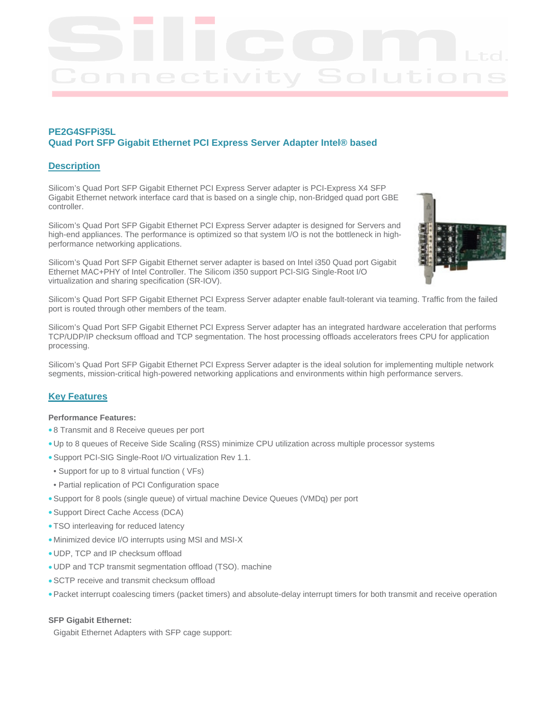## **PE2G4SFPi35L Quad Port SFP Gigabit Ethernet PCI Express Server Adapter Intel® based**

## **Description**

Silicom's Quad Port SFP Gigabit Ethernet PCI Express Server adapter is PCI-Express X4 SFP Gigabit Ethernet network interface card that is based on a single chip, non-Bridged quad port GBE controller.

Silicom's Quad Port SFP Gigabit Ethernet PCI Express Server adapter is designed for Servers and high-end appliances. The performance is optimized so that system I/O is not the bottleneck in highperformance networking applications.

Silicom's Quad Port SFP Gigabit Ethernet server adapter is based on Intel i350 Quad port Gigabit Ethernet MAC+PHY of Intel Controller. The Silicom i350 support PCI-SIG Single-Root I/O virtualization and sharing specification (SR-IOV).



Silicom's Quad Port SFP Gigabit Ethernet PCI Express Server adapter enable fault-tolerant via teaming. Traffic from the failed port is routed through other members of the team.

Silicom's Quad Port SFP Gigabit Ethernet PCI Express Server adapter has an integrated hardware acceleration that performs TCP/UDP/IP checksum offload and TCP segmentation. The host processing offloads accelerators frees CPU for application processing.

Silicom's Quad Port SFP Gigabit Ethernet PCI Express Server adapter is the ideal solution for implementing multiple network segments, mission-critical high-powered networking applications and environments within high performance servers.

## **Key Features**

#### **Performance Features:**

- 8 Transmit and 8 Receive queues per port
- Up to 8 queues of Receive Side Scaling (RSS) minimize CPU utilization across multiple processor systems
- Support PCI-SIG Single-Root I/O virtualization Rev 1.1.
- Support for up to 8 virtual function ( VFs)
- Partial replication of PCI Configuration space
- Support for 8 pools (single queue) of virtual machine Device Queues (VMDq) per port
- Support Direct Cache Access (DCA)
- TSO interleaving for reduced latency
- Minimized device I/O interrupts using MSI and MSI-X
- UDP, TCP and IP checksum offload
- UDP and TCP transmit segmentation offload (TSO). machine
- SCTP receive and transmit checksum offload
- Packet interrupt coalescing timers (packet timers) and absolute-delay interrupt timers for both transmit and receive operation

#### **SFP Gigabit Ethernet:**

Gigabit Ethernet Adapters with SFP cage support: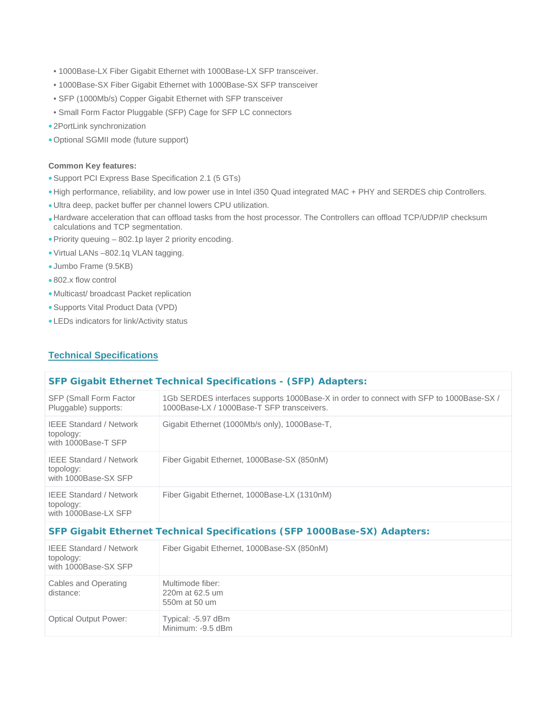- 1000Base-LX Fiber Gigabit Ethernet with 1000Base-LX SFP transceiver.
- 1000Base-SX Fiber Gigabit Ethernet with 1000Base-SX SFP transceiver
- SFP (1000Mb/s) Copper Gigabit Ethernet with SFP transceiver
- Small Form Factor Pluggable (SFP) Cage for SFP LC connectors
- 2PortLink synchronization
- Optional SGMII mode (future support)

#### **Common Key features:**

- Support PCI Express Base Specification 2.1 (5 GTs)
- High performance, reliability, and low power use in Intel i350 Quad integrated MAC + PHY and SERDES chip Controllers.
- Ultra deep, packet buffer per channel lowers CPU utilization.
- Hardware acceleration that can offload tasks from the host processor. The Controllers can offload TCP/UDP/IP checksum calculations and TCP segmentation.
- Priority queuing 802.1p layer 2 priority encoding.
- Virtual LANs –802.1q VLAN tagging.
- Jumbo Frame (9.5KB)
- 802.x flow control
- Multicast/ broadcast Packet replication
- Supports Vital Product Data (VPD)
- LEDs indicators for link/Activity status

## **Technical Specifications**

### **SFP Gigabit Ethernet Technical Specifications - (SFP) Adapters:**

| <b>SFP (Small Form Factor)</b><br>Pluggable) supports:              | 1Gb SERDES interfaces supports 1000Base-X in order to connect with SFP to 1000Base-SX /<br>1000Base-LX / 1000Base-T SFP transceivers. |
|---------------------------------------------------------------------|---------------------------------------------------------------------------------------------------------------------------------------|
| <b>IEEE Standard / Network</b><br>topology:<br>with 1000Base-T SFP  | Gigabit Ethernet (1000Mb/s only), 1000Base-T,                                                                                         |
| <b>IEEE Standard / Network</b><br>topology:<br>with 1000Base-SX SFP | Fiber Gigabit Ethernet, 1000Base-SX (850nM)                                                                                           |
| <b>IEEE Standard / Network</b><br>topology:<br>with 1000Base-LX SFP | Fiber Gigabit Ethernet, 1000Base-LX (1310nM)                                                                                          |

## **SFP Gigabit Ethernet Technical Specifications (SFP 1000Base-SX) Adapters:**

| <b>IEEE Standard / Network</b><br>topology:<br>with 1000Base-SX SFP | Fiber Gigabit Ethernet, 1000Base-SX (850nM)          |
|---------------------------------------------------------------------|------------------------------------------------------|
| Cables and Operating<br>distance:                                   | Multimode fiber:<br>220m at 62.5 um<br>550m at 50 um |
| <b>Optical Output Power:</b>                                        | Typical: -5.97 dBm<br>Minimum: -9.5 dBm              |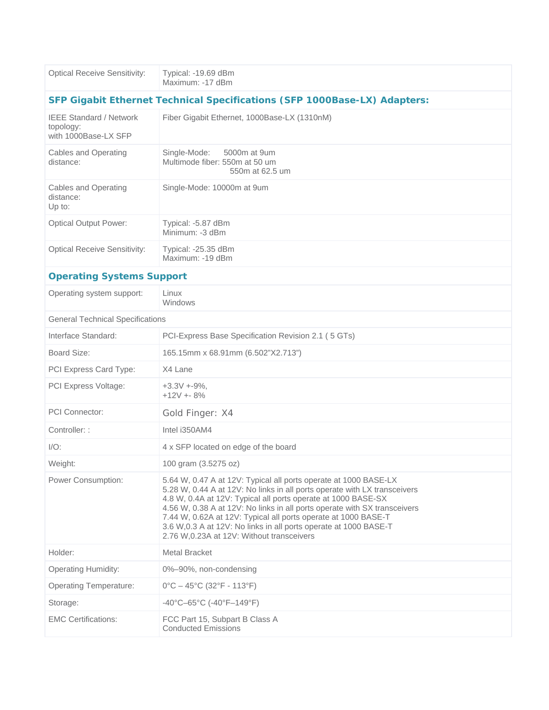| <b>Optical Receive Sensitivity:</b>                                 | Typical: -19.69 dBm<br>Maximum: -17 dBm                                                                                                                                                                                                                                                                                                                                                                                                                                          |  |  |  |
|---------------------------------------------------------------------|----------------------------------------------------------------------------------------------------------------------------------------------------------------------------------------------------------------------------------------------------------------------------------------------------------------------------------------------------------------------------------------------------------------------------------------------------------------------------------|--|--|--|
|                                                                     | SFP Gigabit Ethernet Technical Specifications (SFP 1000Base-LX) Adapters:                                                                                                                                                                                                                                                                                                                                                                                                        |  |  |  |
| <b>IEEE Standard / Network</b><br>topology:<br>with 1000Base-LX SFP | Fiber Gigabit Ethernet, 1000Base-LX (1310nM)                                                                                                                                                                                                                                                                                                                                                                                                                                     |  |  |  |
| <b>Cables and Operating</b><br>distance:                            | Single-Mode:<br>5000m at 9um<br>Multimode fiber: 550m at 50 um<br>550m at 62.5 um                                                                                                                                                                                                                                                                                                                                                                                                |  |  |  |
| <b>Cables and Operating</b><br>distance:<br>Up to:                  | Single-Mode: 10000m at 9um                                                                                                                                                                                                                                                                                                                                                                                                                                                       |  |  |  |
| <b>Optical Output Power:</b>                                        | Typical: -5.87 dBm<br>Minimum: -3 dBm                                                                                                                                                                                                                                                                                                                                                                                                                                            |  |  |  |
| <b>Optical Receive Sensitivity:</b>                                 | Typical: -25.35 dBm<br>Maximum: -19 dBm                                                                                                                                                                                                                                                                                                                                                                                                                                          |  |  |  |
| <b>Operating Systems Support</b>                                    |                                                                                                                                                                                                                                                                                                                                                                                                                                                                                  |  |  |  |
| Operating system support:                                           | Linux<br>Windows                                                                                                                                                                                                                                                                                                                                                                                                                                                                 |  |  |  |
| <b>General Technical Specifications</b>                             |                                                                                                                                                                                                                                                                                                                                                                                                                                                                                  |  |  |  |
| Interface Standard:                                                 | PCI-Express Base Specification Revision 2.1 (5 GTs)                                                                                                                                                                                                                                                                                                                                                                                                                              |  |  |  |
| Board Size:                                                         | 165.15mm x 68.91mm (6.502"X2.713")                                                                                                                                                                                                                                                                                                                                                                                                                                               |  |  |  |
| PCI Express Card Type:                                              | X4 Lane                                                                                                                                                                                                                                                                                                                                                                                                                                                                          |  |  |  |
| PCI Express Voltage:                                                | $+3.3V + -9\%,$<br>$+12V + 8%$                                                                                                                                                                                                                                                                                                                                                                                                                                                   |  |  |  |
| <b>PCI</b> Connector:                                               | Gold Finger: X4                                                                                                                                                                                                                                                                                                                                                                                                                                                                  |  |  |  |
| Controller: :                                                       | Intel i350AM4                                                                                                                                                                                                                                                                                                                                                                                                                                                                    |  |  |  |
| $I/O$ :                                                             | 4 x SFP located on edge of the board                                                                                                                                                                                                                                                                                                                                                                                                                                             |  |  |  |
| Weight:                                                             | 100 gram (3.5275 oz)                                                                                                                                                                                                                                                                                                                                                                                                                                                             |  |  |  |
| Power Consumption:                                                  | 5.64 W, 0.47 A at 12V: Typical all ports operate at 1000 BASE-LX<br>5.28 W, 0.44 A at 12V: No links in all ports operate with LX transceivers<br>4.8 W, 0.4A at 12V: Typical all ports operate at 1000 BASE-SX<br>4.56 W, 0.38 A at 12V: No links in all ports operate with SX transceivers<br>7.44 W, 0.62A at 12V: Typical all ports operate at 1000 BASE-T<br>3.6 W, 0.3 A at 12V: No links in all ports operate at 1000 BASE-T<br>2.76 W, 0.23A at 12V: Without transceivers |  |  |  |
| Holder:                                                             | <b>Metal Bracket</b>                                                                                                                                                                                                                                                                                                                                                                                                                                                             |  |  |  |
| <b>Operating Humidity:</b>                                          | 0%-90%, non-condensing                                                                                                                                                                                                                                                                                                                                                                                                                                                           |  |  |  |
| <b>Operating Temperature:</b>                                       | $0^{\circ}$ C – 45°C (32°F - 113°F)                                                                                                                                                                                                                                                                                                                                                                                                                                              |  |  |  |
| Storage:                                                            | -40°C-65°C (-40°F-149°F)                                                                                                                                                                                                                                                                                                                                                                                                                                                         |  |  |  |
| <b>EMC Certifications:</b>                                          | FCC Part 15, Subpart B Class A<br><b>Conducted Emissions</b>                                                                                                                                                                                                                                                                                                                                                                                                                     |  |  |  |